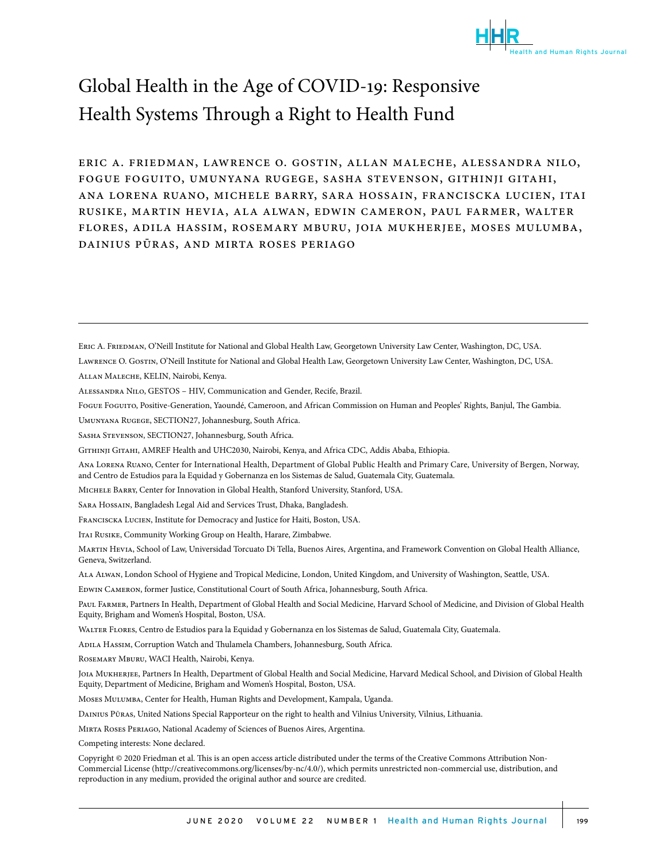

# Global Health in the Age of COVID-19: Responsive. Health Systems Through a Right to Health Fund

eric a. friedman, lawrence o. gostin, allan maleche, alessandra nilo, fogue foguito, umunyana rugege, sasha stevenson, githinji gitahi, ana lorena ruano, michele barry, sara hossain, franciscka lucien, itai rusike, martin hevia, ala alwan, edwin cameron, paul farmer, walter flores, adila hassim, rosemary mburu, joia mukherjee, moses mulumba, dainius pūras, and mirta roses periago

Lawrence O. Gostin, O'Neill Institute for National and Global Health Law, Georgetown University Law Center, Washington, DC, USA.

Allan Maleche, KELIN, Nairobi, Kenya.

Alessandra Nilo, GESTOS – HIV, Communication and Gender, Recife, Brazil.

- Fogue Foguito, Positive-Generation, Yaoundé, Cameroon, and African Commission on Human and Peoples' Rights, Banjul, The Gambia.
- Umunyana Rugege, SECTION27, Johannesburg, South Africa.

Sasha Stevenson, SECTION27, Johannesburg, South Africa.

- Ana Lorena Ruano, Center for International Health, Department of Global Public Health and Primary Care, University of Bergen, Norway, and Centro de Estudios para la Equidad y Gobernanza en los Sistemas de Salud, Guatemala City, Guatemala.
- Michele Barry, Center for Innovation in Global Health, Stanford University, Stanford, USA.
- Sara Hossain, Bangladesh Legal Aid and Services Trust, Dhaka, Bangladesh.
- Franciscka Lucien, Institute for Democracy and Justice for Haiti, Boston, USA.

Itai Rusike, Community Working Group on Health, Harare, Zimbabwe.

Martin Hevia, School of Law, Universidad Torcuato Di Tella, Buenos Aires, Argentina, and Framework Convention on Global Health Alliance, Geneva, Switzerland.

Ala Alwan, London School of Hygiene and Tropical Medicine, London, United Kingdom, and University of Washington, Seattle, USA.

Edwin Cameron, former Justice, Constitutional Court of South Africa, Johannesburg, South Africa.

PAUL FARMER, Partners In Health, Department of Global Health and Social Medicine, Harvard School of Medicine, and Division of Global Health Equity, Brigham and Women's Hospital, Boston, USA.

Walter Flores, Centro de Estudios para la Equidad y Gobernanza en los Sistemas de Salud, Guatemala City, Guatemala.

Adila Hassim, Corruption Watch and Thulamela Chambers, Johannesburg, South Africa.

Rosemary Mburu, WACI Health, Nairobi, Kenya.

Joia Mukherjee, Partners In Health, Department of Global Health and Social Medicine, Harvard Medical School, and Division of Global Health Equity, Department of Medicine, Brigham and Women's Hospital, Boston, USA.

Moses Mulumba, Center for Health, Human Rights and Development, Kampala, Uganda.

Dainius Pūras, United Nations Special Rapporteur on the right to health and Vilnius University, Vilnius, Lithuania.

Mirta Roses Periago, National Academy of Sciences of Buenos Aires, Argentina.

Competing interests: None declared.

Copyright © 2020 Friedman et al. This is an open access article distributed under the terms of the Creative Commons Attribution Non-Commercial License (http://creativecommons.org/licenses/by-nc/4.0/), which permits unrestricted non-commercial use, distribution, and reproduction in any medium, provided the original author and source are credited.

ERIC A. FRIEDMAN, O'Neill Institute for National and Global Health Law, Georgetown University Law Center, Washington, DC, USA.

Githinji Gitahi, AMREF Health and UHC2030, Nairobi, Kenya, and Africa CDC, Addis Ababa, Ethiopia.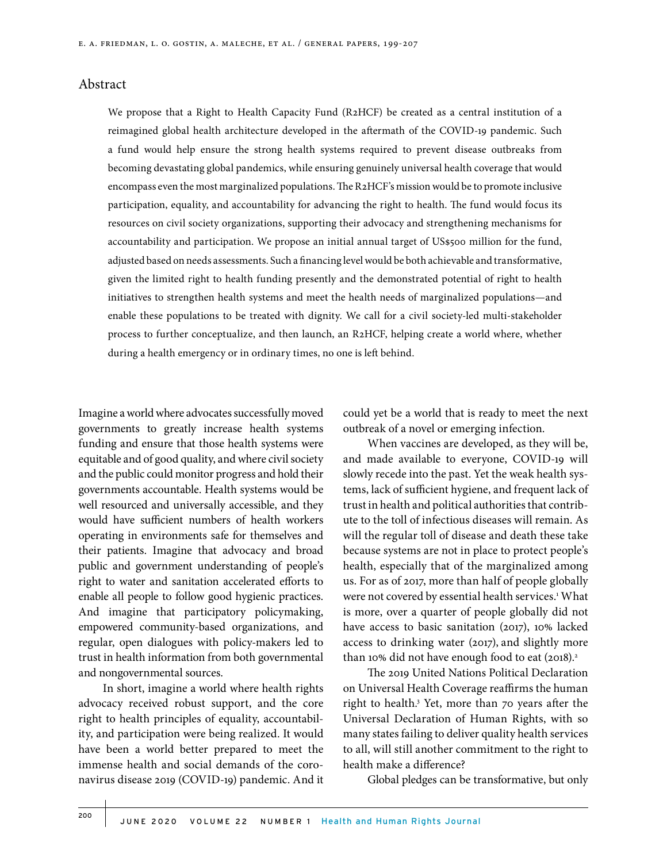## Abstract

We propose that a Right to Health Capacity Fund (R2HCF) be created as a central institution of a reimagined global health architecture developed in the aftermath of the COVID-19 pandemic. Such a fund would help ensure the strong health systems required to prevent disease outbreaks from becoming devastating global pandemics, while ensuring genuinely universal health coverage that would encompass even the most marginalized populations. The R2HCF's mission would be to promote inclusive participation, equality, and accountability for advancing the right to health. The fund would focus its resources on civil society organizations, supporting their advocacy and strengthening mechanisms for accountability and participation. We propose an initial annual target of US\$500 million for the fund, adjusted based on needs assessments. Such a financing level would be both achievable and transformative, given the limited right to health funding presently and the demonstrated potential of right to health initiatives to strengthen health systems and meet the health needs of marginalized populations—and enable these populations to be treated with dignity. We call for a civil society-led multi-stakeholder process to further conceptualize, and then launch, an R2HCF, helping create a world where, whether during a health emergency or in ordinary times, no one is left behind.

Imagine a world where advocates successfully moved governments to greatly increase health systems funding and ensure that those health systems were equitable and of good quality, and where civil society and the public could monitor progress and hold their governments accountable. Health systems would be well resourced and universally accessible, and they would have sufficient numbers of health workers operating in environments safe for themselves and their patients. Imagine that advocacy and broad public and government understanding of people's right to water and sanitation accelerated efforts to enable all people to follow good hygienic practices. And imagine that participatory policymaking, empowered community-based organizations, and regular, open dialogues with policy-makers led to trust in health information from both governmental and nongovernmental sources.

In short, imagine a world where health rights advocacy received robust support, and the core right to health principles of equality, accountability, and participation were being realized. It would have been a world better prepared to meet the immense health and social demands of the coronavirus disease 2019 (COVID-19) pandemic. And it

could yet be a world that is ready to meet the next outbreak of a novel or emerging infection.

When vaccines are developed, as they will be, and made available to everyone, COVID-19 will slowly recede into the past. Yet the weak health systems, lack of sufficient hygiene, and frequent lack of trust in health and political authorities that contribute to the toll of infectious diseases will remain. As will the regular toll of disease and death these take because systems are not in place to protect people's health, especially that of the marginalized among us. For as of 2017, more than half of people globally were not covered by essential health services.<sup>1</sup> What is more, over a quarter of people globally did not have access to basic sanitation (2017), 10% lacked access to drinking water (2017), and slightly more than 10% did not have enough food to eat  $(2018).<sup>2</sup>$ 

The 2019 United Nations Political Declaration on Universal Health Coverage reaffirms the human right to health.<sup>3</sup> Yet, more than 70 years after the Universal Declaration of Human Rights, with so many states failing to deliver quality health services to all, will still another commitment to the right to health make a difference?

Global pledges can be transformative, but only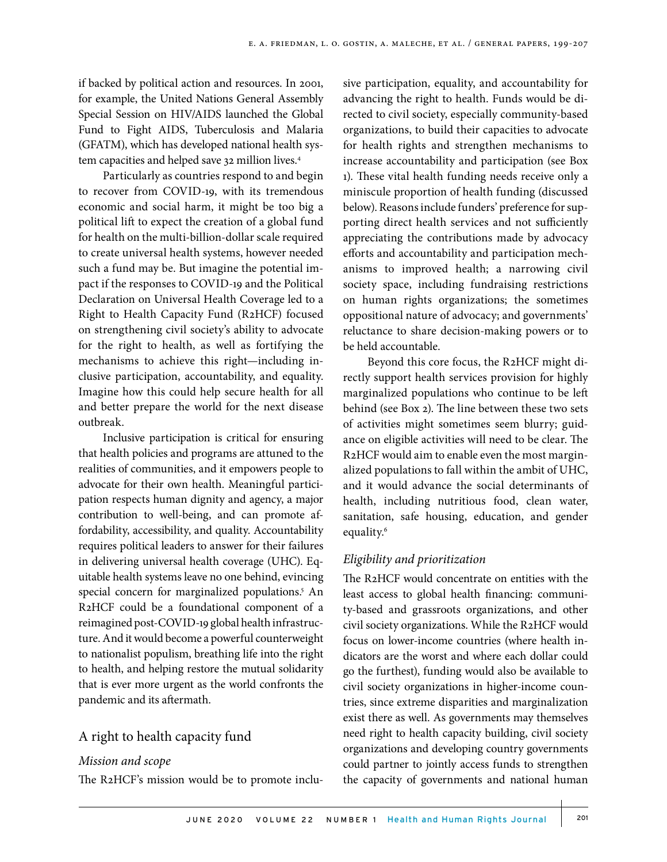if backed by political action and resources. In 2001, for example, the United Nations General Assembly Special Session on HIV/AIDS launched the Global Fund to Fight AIDS, Tuberculosis and Malaria (GFATM), which has developed national health system capacities and helped save 32 million lives.<sup>4</sup>

Particularly as countries respond to and begin to recover from COVID-19, with its tremendous economic and social harm, it might be too big a political lift to expect the creation of a global fund for health on the multi-billion-dollar scale required to create universal health systems, however needed such a fund may be. But imagine the potential impact if the responses to COVID-19 and the Political Declaration on Universal Health Coverage led to a Right to Health Capacity Fund (R2HCF) focused on strengthening civil society's ability to advocate for the right to health, as well as fortifying the mechanisms to achieve this right—including inclusive participation, accountability, and equality. Imagine how this could help secure health for all and better prepare the world for the next disease outbreak.

Inclusive participation is critical for ensuring that health policies and programs are attuned to the realities of communities, and it empowers people to advocate for their own health. Meaningful participation respects human dignity and agency, a major contribution to well-being, and can promote affordability, accessibility, and quality. Accountability requires political leaders to answer for their failures in delivering universal health coverage (UHC). Equitable health systems leave no one behind, evincing special concern for marginalized populations.<sup>5</sup> An R2HCF could be a foundational component of a reimagined post-COVID-19 global health infrastructure. And it would become a powerful counterweight to nationalist populism, breathing life into the right to health, and helping restore the mutual solidarity that is ever more urgent as the world confronts the pandemic and its aftermath.

## A right to health capacity fund

### *Mission and scope*

The R2HCF's mission would be to promote inclu-

sive participation, equality, and accountability for advancing the right to health. Funds would be directed to civil society, especially community-based organizations, to build their capacities to advocate for health rights and strengthen mechanisms to increase accountability and participation (see Box 1). These vital health funding needs receive only a miniscule proportion of health funding (discussed below). Reasons include funders' preference for supporting direct health services and not sufficiently appreciating the contributions made by advocacy efforts and accountability and participation mechanisms to improved health; a narrowing civil society space, including fundraising restrictions on human rights organizations; the sometimes oppositional nature of advocacy; and governments' reluctance to share decision-making powers or to be held accountable.

Beyond this core focus, the R2HCF might directly support health services provision for highly marginalized populations who continue to be left behind (see Box 2). The line between these two sets of activities might sometimes seem blurry; guidance on eligible activities will need to be clear. The R2HCF would aim to enable even the most marginalized populations to fall within the ambit of UHC, and it would advance the social determinants of health, including nutritious food, clean water, sanitation, safe housing, education, and gender equality.6

## *Eligibility and prioritization*

The R2HCF would concentrate on entities with the least access to global health financing: community-based and grassroots organizations, and other civil society organizations. While the R2HCF would focus on lower-income countries (where health indicators are the worst and where each dollar could go the furthest), funding would also be available to civil society organizations in higher-income countries, since extreme disparities and marginalization exist there as well. As governments may themselves need right to health capacity building, civil society organizations and developing country governments could partner to jointly access funds to strengthen the capacity of governments and national human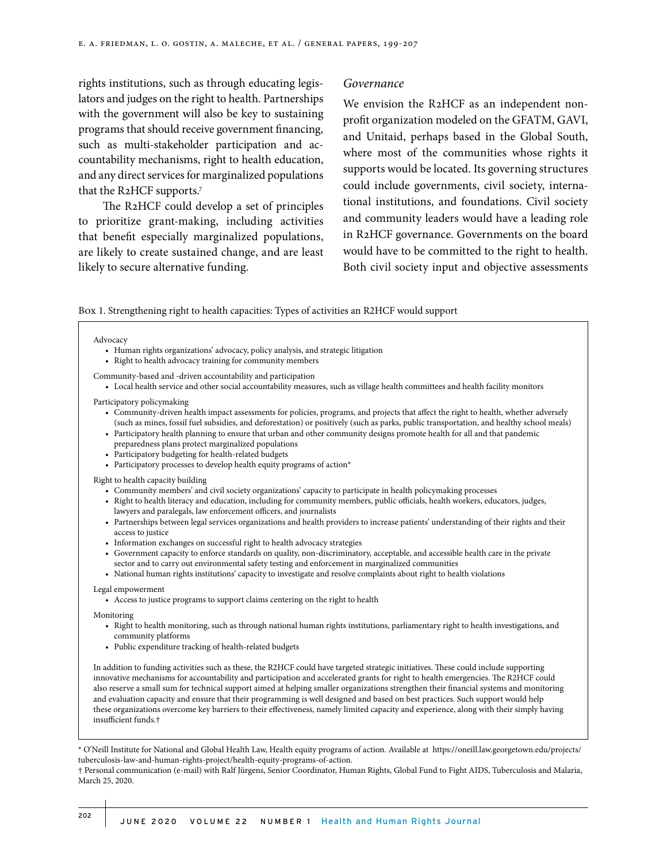rights institutions, such as through educating legislators and judges on the right to health. Partnerships with the government will also be key to sustaining programs that should receive government financing, such as multi-stakeholder participation and accountability mechanisms, right to health education, and any direct services for marginalized populations that the R2HCF supports.7

The R2HCF could develop a set of principles to prioritize grant-making, including activities that benefit especially marginalized populations, are likely to create sustained change, and are least likely to secure alternative funding.

## *Governance*

We envision the R2HCF as an independent nonprofit organization modeled on the GFATM, GAVI, and Unitaid, perhaps based in the Global South, where most of the communities whose rights it supports would be located. Its governing structures could include governments, civil society, international institutions, and foundations. Civil society and community leaders would have a leading role in R2HCF governance. Governments on the board would have to be committed to the right to health. Both civil society input and objective assessments

Box 1. Strengthening right to health capacities: Types of activities an R2HCF would support

Advocacy

- Human rights organizations' advocacy, policy analysis, and strategic litigation
- Right to health advocacy training for community members
- Community-based and -driven accountability and participation
	- Local health service and other social accountability measures, such as village health committees and health facility monitors

Participatory policymaking

- Community-driven health impact assessments for policies, programs, and projects that affect the right to health, whether adversely (such as mines, fossil fuel subsidies, and deforestation) or positively (such as parks, public transportation, and healthy school meals)
- Participatory health planning to ensure that urban and other community designs promote health for all and that pandemic preparedness plans protect marginalized populations
- Participatory budgeting for health-related budgets
- Participatory processes to develop health equity programs of action\*

Right to health capacity building

- Community members' and civil society organizations' capacity to participate in health policymaking processes
- Right to health literacy and education, including for community members, public officials, health workers, educators, judges, lawyers and paralegals, law enforcement officers, and journalists
- Partnerships between legal services organizations and health providers to increase patients' understanding of their rights and their access to justice
- Information exchanges on successful right to health advocacy strategies
- Government capacity to enforce standards on quality, non-discriminatory, acceptable, and accessible health care in the private sector and to carry out environmental safety testing and enforcement in marginalized communities
- National human rights institutions' capacity to investigate and resolve complaints about right to health violations

Legal empowerment

• Access to justice programs to support claims centering on the right to health

Monitoring

- Right to health monitoring, such as through national human rights institutions, parliamentary right to health investigations, and community platforms
- Public expenditure tracking of health-related budgets

In addition to funding activities such as these, the R2HCF could have targeted strategic initiatives. These could include supporting innovative mechanisms for accountability and participation and accelerated grants for right to health emergencies. The R2HCF could also reserve a small sum for technical support aimed at helping smaller organizations strengthen their financial systems and monitoring and evaluation capacity and ensure that their programming is well designed and based on best practices. Such support would help these organizations overcome key barriers to their effectiveness, namely limited capacity and experience, along with their simply having insufficient funds.†

\* O'Neill Institute for National and Global Health Law, Health equity programs of action. Available at https://oneill.law.georgetown.edu/projects/ tuberculosis-law-and-human-rights-project/health-equity-programs-of-action.

† Personal communication (e-mail) with Ralf Jürgens, Senior Coordinator, Human Rights, Global Fund to Fight AIDS, Tuberculosis and Malaria, March 25, 2020.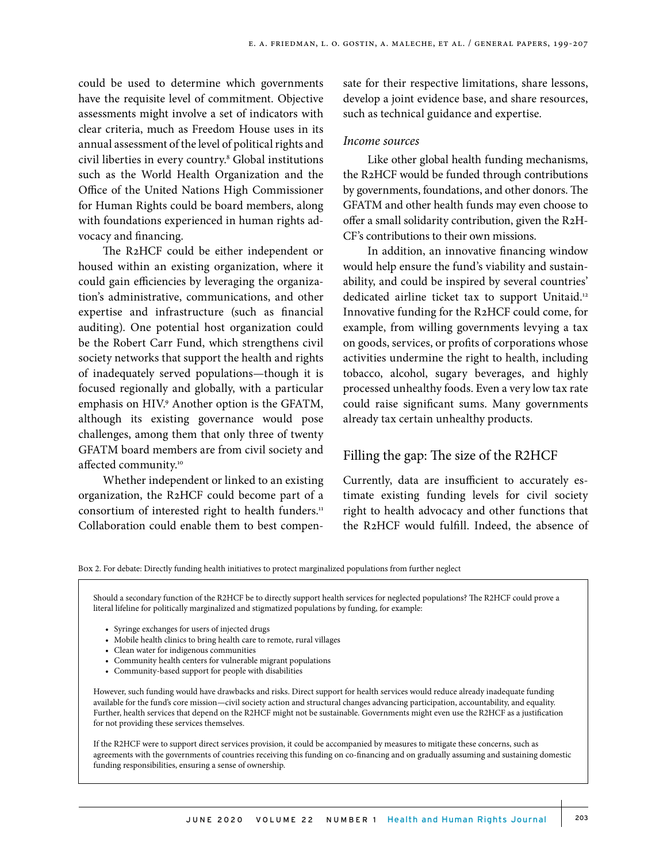could be used to determine which governments have the requisite level of commitment. Objective assessments might involve a set of indicators with clear criteria, much as Freedom House uses in its annual assessment of the level of political rights and civil liberties in every country.8 Global institutions such as the World Health Organization and the Office of the United Nations High Commissioner for Human Rights could be board members, along with foundations experienced in human rights advocacy and financing.

The R2HCF could be either independent or housed within an existing organization, where it could gain efficiencies by leveraging the organization's administrative, communications, and other expertise and infrastructure (such as financial auditing). One potential host organization could be the Robert Carr Fund, which strengthens civil society networks that support the health and rights of inadequately served populations—though it is focused regionally and globally, with a particular emphasis on HIV.<sup>9</sup> Another option is the GFATM, although its existing governance would pose challenges, among them that only three of twenty GFATM board members are from civil society and affected community.10

Whether independent or linked to an existing organization, the R2HCF could become part of a consortium of interested right to health funders.<sup>11</sup> Collaboration could enable them to best compensate for their respective limitations, share lessons, develop a joint evidence base, and share resources, such as technical guidance and expertise.

#### *Income sources*

Like other global health funding mechanisms, the R2HCF would be funded through contributions by governments, foundations, and other donors. The GFATM and other health funds may even choose to offer a small solidarity contribution, given the R2H-CF's contributions to their own missions.

In addition, an innovative financing window would help ensure the fund's viability and sustainability, and could be inspired by several countries' dedicated airline ticket tax to support Unitaid.<sup>12</sup> Innovative funding for the R2HCF could come, for example, from willing governments levying a tax on goods, services, or profits of corporations whose activities undermine the right to health, including tobacco, alcohol, sugary beverages, and highly processed unhealthy foods. Even a very low tax rate could raise significant sums. Many governments already tax certain unhealthy products.

## Filling the gap: The size of the R2HCF

Currently, data are insufficient to accurately estimate existing funding levels for civil society right to health advocacy and other functions that the R2HCF would fulfill. Indeed, the absence of

Box 2. For debate: Directly funding health initiatives to protect marginalized populations from further neglect

Should a secondary function of the R2HCF be to directly support health services for neglected populations? The R2HCF could prove a literal lifeline for politically marginalized and stigmatized populations by funding, for example:

- Syringe exchanges for users of injected drugs
- Mobile health clinics to bring health care to remote, rural villages
- Clean water for indigenous communities
- Community health centers for vulnerable migrant populations
- Community-based support for people with disabilities

However, such funding would have drawbacks and risks. Direct support for health services would reduce already inadequate funding available for the fund's core mission—civil society action and structural changes advancing participation, accountability, and equality. Further, health services that depend on the R2HCF might not be sustainable. Governments might even use the R2HCF as a justification for not providing these services themselves.

If the R2HCF were to support direct services provision, it could be accompanied by measures to mitigate these concerns, such as agreements with the governments of countries receiving this funding on co-financing and on gradually assuming and sustaining domestic funding responsibilities, ensuring a sense of ownership.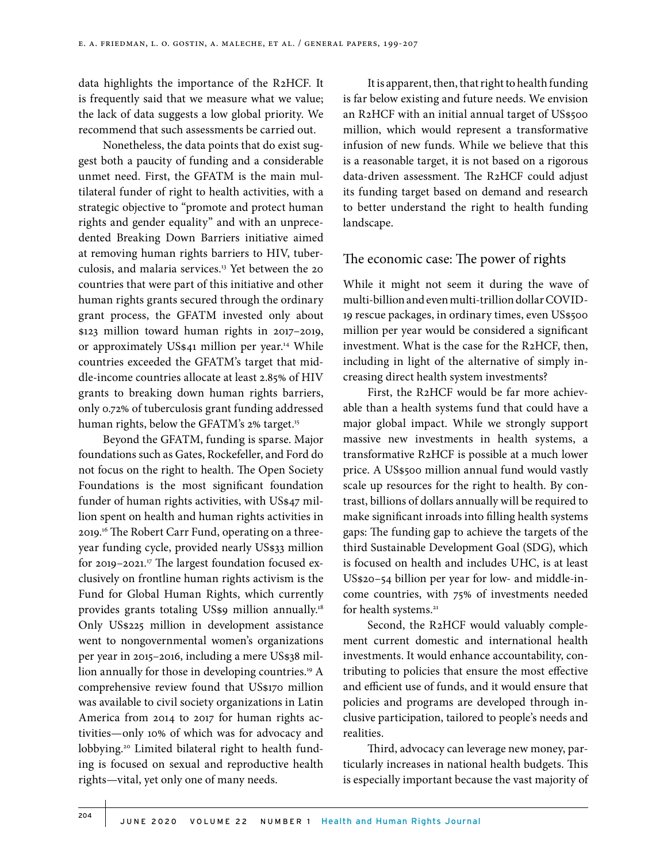data highlights the importance of the R2HCF. It is frequently said that we measure what we value; the lack of data suggests a low global priority. We recommend that such assessments be carried out.

Nonetheless, the data points that do exist suggest both a paucity of funding and a considerable unmet need. First, the GFATM is the main multilateral funder of right to health activities, with a strategic objective to "promote and protect human rights and gender equality" and with an unprecedented Breaking Down Barriers initiative aimed at removing human rights barriers to HIV, tuberculosis, and malaria services.13 Yet between the 20 countries that were part of this initiative and other human rights grants secured through the ordinary grant process, the GFATM invested only about \$123 million toward human rights in 2017–2019, or approximately US\$41 million per year.<sup>14</sup> While countries exceeded the GFATM's target that middle-income countries allocate at least 2.85% of HIV grants to breaking down human rights barriers, only 0.72% of tuberculosis grant funding addressed human rights, below the GFATM's 2% target.<sup>15</sup>

Beyond the GFATM, funding is sparse. Major foundations such as Gates, Rockefeller, and Ford do not focus on the right to health. The Open Society Foundations is the most significant foundation funder of human rights activities, with US\$47 million spent on health and human rights activities in 2019.16 The Robert Carr Fund, operating on a threeyear funding cycle, provided nearly US\$33 million for 2019-2021.<sup>17</sup> The largest foundation focused exclusively on frontline human rights activism is the Fund for Global Human Rights, which currently provides grants totaling US\$9 million annually.<sup>18</sup> Only US\$225 million in development assistance went to nongovernmental women's organizations per year in 2015–2016, including a mere US\$38 million annually for those in developing countries.<sup>19</sup> A comprehensive review found that US\$170 million was available to civil society organizations in Latin America from 2014 to 2017 for human rights activities—only 10% of which was for advocacy and lobbying.<sup>20</sup> Limited bilateral right to health funding is focused on sexual and reproductive health rights—vital, yet only one of many needs.

It is apparent, then, that right to health funding is far below existing and future needs. We envision an R2HCF with an initial annual target of US\$500 million, which would represent a transformative infusion of new funds. While we believe that this is a reasonable target, it is not based on a rigorous data-driven assessment. The R2HCF could adjust its funding target based on demand and research to better understand the right to health funding landscape.

# The economic case: The power of rights

While it might not seem it during the wave of multi-billion and even multi-trillion dollar COVID-19 rescue packages, in ordinary times, even US\$500 million per year would be considered a significant investment. What is the case for the R2HCF, then, including in light of the alternative of simply increasing direct health system investments?

First, the R2HCF would be far more achievable than a health systems fund that could have a major global impact. While we strongly support massive new investments in health systems, a transformative R2HCF is possible at a much lower price. A US\$500 million annual fund would vastly scale up resources for the right to health. By contrast, billions of dollars annually will be required to make significant inroads into filling health systems gaps: The funding gap to achieve the targets of the third Sustainable Development Goal (SDG), which is focused on health and includes UHC, is at least US\$20–54 billion per year for low- and middle-income countries, with 75% of investments needed for health systems.<sup>21</sup>

Second, the R2HCF would valuably complement current domestic and international health investments. It would enhance accountability, contributing to policies that ensure the most effective and efficient use of funds, and it would ensure that policies and programs are developed through inclusive participation, tailored to people's needs and realities.

Third, advocacy can leverage new money, particularly increases in national health budgets. This is especially important because the vast majority of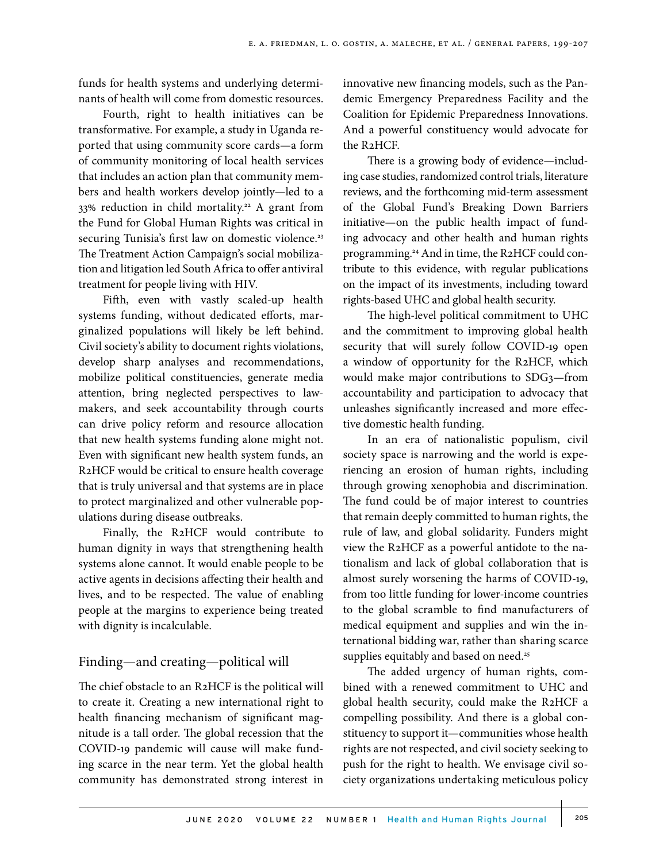funds for health systems and underlying determinants of health will come from domestic resources.

Fourth, right to health initiatives can be transformative. For example, a study in Uganda reported that using community score cards—a form of community monitoring of local health services that includes an action plan that community members and health workers develop jointly—led to a 33% reduction in child mortality.<sup>22</sup> A grant from the Fund for Global Human Rights was critical in securing Tunisia's first law on domestic violence.<sup>23</sup> The Treatment Action Campaign's social mobilization and litigation led South Africa to offer antiviral treatment for people living with HIV.

Fifth, even with vastly scaled-up health systems funding, without dedicated efforts, marginalized populations will likely be left behind. Civil society's ability to document rights violations, develop sharp analyses and recommendations, mobilize political constituencies, generate media attention, bring neglected perspectives to lawmakers, and seek accountability through courts can drive policy reform and resource allocation that new health systems funding alone might not. Even with significant new health system funds, an R2HCF would be critical to ensure health coverage that is truly universal and that systems are in place to protect marginalized and other vulnerable populations during disease outbreaks.

Finally, the R2HCF would contribute to human dignity in ways that strengthening health systems alone cannot. It would enable people to be active agents in decisions affecting their health and lives, and to be respected. The value of enabling people at the margins to experience being treated with dignity is incalculable.

# Finding—and creating—political will

The chief obstacle to an R2HCF is the political will to create it. Creating a new international right to health financing mechanism of significant magnitude is a tall order. The global recession that the COVID-19 pandemic will cause will make funding scarce in the near term. Yet the global health community has demonstrated strong interest in innovative new financing models, such as the Pandemic Emergency Preparedness Facility and the Coalition for Epidemic Preparedness Innovations. And a powerful constituency would advocate for the R2HCF.

There is a growing body of evidence—including case studies, randomized control trials, literature reviews, and the forthcoming mid-term assessment of the Global Fund's Breaking Down Barriers initiative—on the public health impact of funding advocacy and other health and human rights programming.24 And in time, the R2HCF could contribute to this evidence, with regular publications on the impact of its investments, including toward rights-based UHC and global health security.

The high-level political commitment to UHC and the commitment to improving global health security that will surely follow COVID-19 open a window of opportunity for the R2HCF, which would make major contributions to SDG3—from accountability and participation to advocacy that unleashes significantly increased and more effective domestic health funding.

In an era of nationalistic populism, civil society space is narrowing and the world is experiencing an erosion of human rights, including through growing xenophobia and discrimination. The fund could be of major interest to countries that remain deeply committed to human rights, the rule of law, and global solidarity. Funders might view the R2HCF as a powerful antidote to the nationalism and lack of global collaboration that is almost surely worsening the harms of COVID-19, from too little funding for lower-income countries to the global scramble to find manufacturers of medical equipment and supplies and win the international bidding war, rather than sharing scarce supplies equitably and based on need.<sup>25</sup>

The added urgency of human rights, combined with a renewed commitment to UHC and global health security, could make the R2HCF a compelling possibility. And there is a global constituency to support it—communities whose health rights are not respected, and civil society seeking to push for the right to health. We envisage civil society organizations undertaking meticulous policy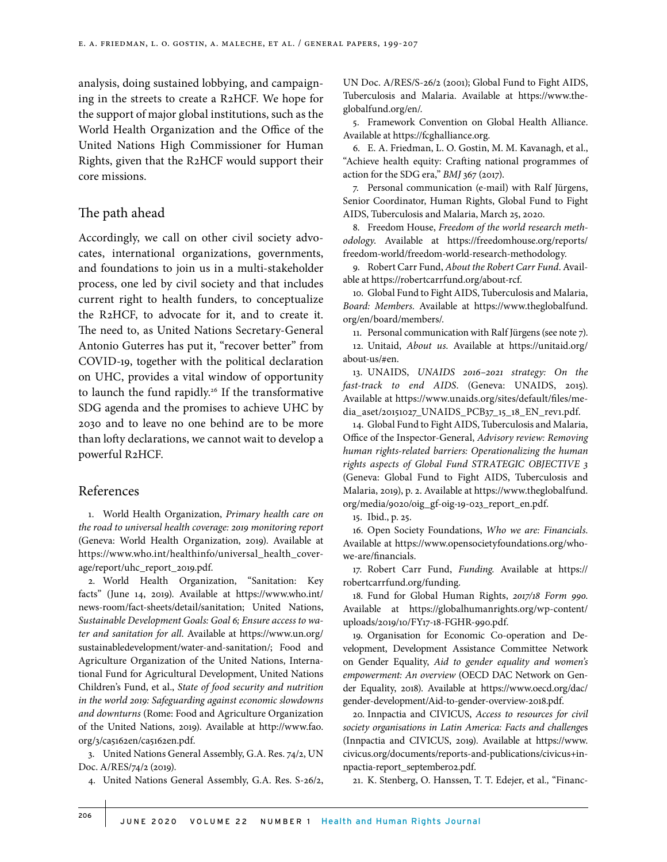analysis, doing sustained lobbying, and campaigning in the streets to create a R2HCF. We hope for the support of major global institutions, such as the World Health Organization and the Office of the United Nations High Commissioner for Human Rights, given that the R2HCF would support their core missions.

## The path ahead

Accordingly, we call on other civil society advocates, international organizations, governments, and foundations to join us in a multi-stakeholder process, one led by civil society and that includes current right to health funders, to conceptualize the R2HCF, to advocate for it, and to create it. The need to, as United Nations Secretary-General Antonio Guterres has put it, "recover better" from COVID-19, together with the political declaration on UHC, provides a vital window of opportunity to launch the fund rapidly.<sup>26</sup> If the transformative SDG agenda and the promises to achieve UHC by 2030 and to leave no one behind are to be more than lofty declarations, we cannot wait to develop a powerful R2HCF.

# References

1. World Health Organization, *Primary health care on the road to universal health coverage: 2019 monitoring report* (Geneva: World Health Organization, 2019). Available at https://www.who.int/healthinfo/universal\_health\_coverage/report/uhc\_report\_2019.pdf.

2. World Health Organization, "Sanitation: Key facts" (June 14, 2019). Available at https://www.who.int/ news-room/fact-sheets/detail/sanitation; United Nations, *Sustainable Development Goals: Goal 6; Ensure access to water and sanitation for all*. Available at https://www.un.org/ sustainabledevelopment/water-and-sanitation/; Food and Agriculture Organization of the United Nations, International Fund for Agricultural Development, United Nations Children's Fund, et al., *State of food security and nutrition in the world 2019: Safeguarding against economic slowdowns and downturns* (Rome: Food and Agriculture Organization of the United Nations, 2019). Available at http://www.fao. org/3/ca5162en/ca5162en.pdf.

3. United Nations General Assembly, G.A. Res. 74/2, UN Doc. A/RES/74/2 (2019).

4. United Nations General Assembly, G.A. Res. S-26/2,

UN Doc. A/RES/S-26/2 (2001); Global Fund to Fight AIDS, Tuberculosis and Malaria. Available at https://www.theglobalfund.org/en/.

5. Framework Convention on Global Health Alliance. Available at https://fcghalliance.org.

6. E. A. Friedman, L. O. Gostin, M. M. Kavanagh, et al., "Achieve health equity: Crafting national programmes of action for the SDG era," *BMJ* 367 (2017).

7. Personal communication (e-mail) with Ralf Jürgens, Senior Coordinator, Human Rights, Global Fund to Fight AIDS, Tuberculosis and Malaria, March 25, 2020.

8. Freedom House, *Freedom of the world research methodology*. Available at https://freedomhouse.org/reports/ freedom-world/freedom-world-research-methodology.

9. Robert Carr Fund, *About the Robert Carr Fund*. Available at https://robertcarrfund.org/about-rcf.

10. Global Fund to Fight AIDS, Tuberculosis and Malaria, *Board: Members*. Available at https://www.theglobalfund. org/en/board/members/.

11. Personal communication with Ralf Jürgens (see note 7).

12. Unitaid, *About us*. Available at https://unitaid.org/ about-us/#en.

13. UNAIDS, *UNAIDS 2016–2021 strategy: On the fast-track to end AIDS*. (Geneva: UNAIDS, 2015). Available at https://www.unaids.org/sites/default/files/media\_aset/20151027\_UNAIDS\_PCB37\_15\_18\_EN\_rev1.pdf.

14. Global Fund to Fight AIDS, Tuberculosis and Malaria, Office of the Inspector-General, *Advisory review: Removing human rights-related barriers: Operationalizing the human rights aspects of Global Fund STRATEGIC OBJECTIVE 3* (Geneva: Global Fund to Fight AIDS, Tuberculosis and Malaria, 2019), p. 2. Available at https://www.theglobalfund. org/media/9020/oig\_gf-oig-19-023\_report\_en.pdf.

15. Ibid., p. 25.

16. Open Society Foundations, *Who we are: Financials*. Available at https://www.opensocietyfoundations.org/whowe-are/financials.

17. Robert Carr Fund, *Funding*. Available at https:// robertcarrfund.org/funding.

18. Fund for Global Human Rights, *2017/18 Form 990*. Available at https://globalhumanrights.org/wp-content/ uploads/2019/10/FY17-18-FGHR-990.pdf.

19. Organisation for Economic Co-operation and Development, Development Assistance Committee Network on Gender Equality, *Aid to gender equality and women's empowerment: An overview* (OECD DAC Network on Gender Equality, 2018). Available at https://www.oecd.org/dac/ gender-development/Aid-to-gender-overview-2018.pdf.

20. Innpactia and CIVICUS, *Access to resources for civil society organisations in Latin America: Facts and challenge*s (Innpactia and CIVICUS, 2019). Available at https://www. civicus.org/documents/reports-and-publications/civicus+innpactia-report\_september02.pdf.

21. K. Stenberg, O. Hanssen, T. T. Edejer, et al*.,* "Financ-